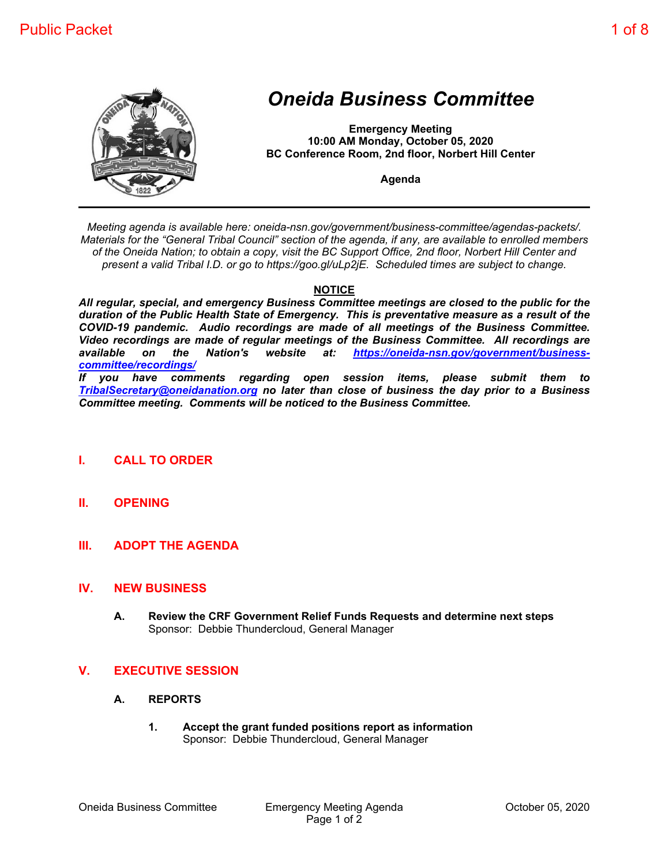

# *Oneida Business Committee*

**Emergency Meeting 10:00 AM Monday, October 05, 2020 BC Conference Room, 2nd floor, Norbert Hill Center**

**Agenda**

*Meeting agenda is available here: oneida-nsn.gov/government/business-committee/agendas-packets/. Materials for the "General Tribal Council" section of the agenda, if any, are available to enrolled members of the Oneida Nation; to obtain a copy, visit the BC Support Office, 2nd floor, Norbert Hill Center and present a valid Tribal I.D. or go to https://goo.gl/uLp2jE. Scheduled times are subject to change.*

## **NOTICE**

*All regular, special, and emergency Business Committee meetings are closed to the public for the duration of the Public Health State of Emergency. This is preventative measure as a result of the COVID-19 pandemic. Audio recordings are made of all meetings of the Business Committee. Video recordings are made of regular meetings of the Business Committee. All recordings are available on the Nation's website at: https://oneida-nsn.gov/government/businesscommittee/recordings/*

*If you have comments regarding open session items, please submit them to TribalSecretary@oneidanation.org no later than close of business the day prior to a Business Committee meeting. Comments will be noticed to the Business Committee.*

- **I. CALL TO ORDER**
- **II. OPENING**
- **III. ADOPT THE AGENDA**

#### **IV. NEW BUSINESS**

**A. Review the CRF Government Relief Funds Requests and determine next steps** Sponsor: Debbie Thundercloud, General Manager

## **V. EXECUTIVE SESSION**

- **A. REPORTS**
	- **1. Accept the grant funded positions report as information** Sponsor: Debbie Thundercloud, General Manager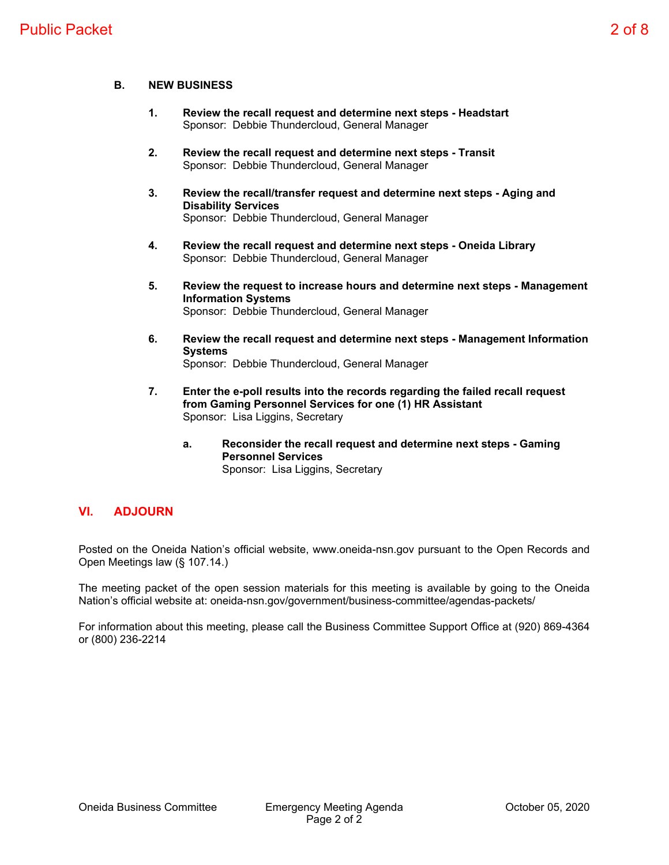#### **B. NEW BUSINESS**

- **1. Review the recall request and determine next steps Headstart** Sponsor: Debbie Thundercloud, General Manager
- **2. Review the recall request and determine next steps Transit** Sponsor: Debbie Thundercloud, General Manager
- **3. Review the recall/transfer request and determine next steps Aging and Disability Services** Sponsor: Debbie Thundercloud, General Manager
- **4. Review the recall request and determine next steps Oneida Library** Sponsor: Debbie Thundercloud, General Manager
- **5. Review the request to increase hours and determine next steps Management Information Systems** Sponsor: Debbie Thundercloud, General Manager
- **6. Review the recall request and determine next steps Management Information Systems** Sponsor: Debbie Thundercloud, General Manager
- **7. Enter the e-poll results into the records regarding the failed recall request from Gaming Personnel Services for one (1) HR Assistant** Sponsor: Lisa Liggins, Secretary
	- **a. Reconsider the recall request and determine next steps Gaming Personnel Services** Sponsor: Lisa Liggins, Secretary

# **VI. ADJOURN**

Posted on the Oneida Nation's official website, www.oneida-nsn.gov pursuant to the Open Records and Open Meetings law (§ 107.14.)

The meeting packet of the open session materials for this meeting is available by going to the Oneida Nation's official website at: oneida-nsn.gov/government/business-committee/agendas-packets/

For information about this meeting, please call the Business Committee Support Office at (920) 869-4364 or (800) 236-2214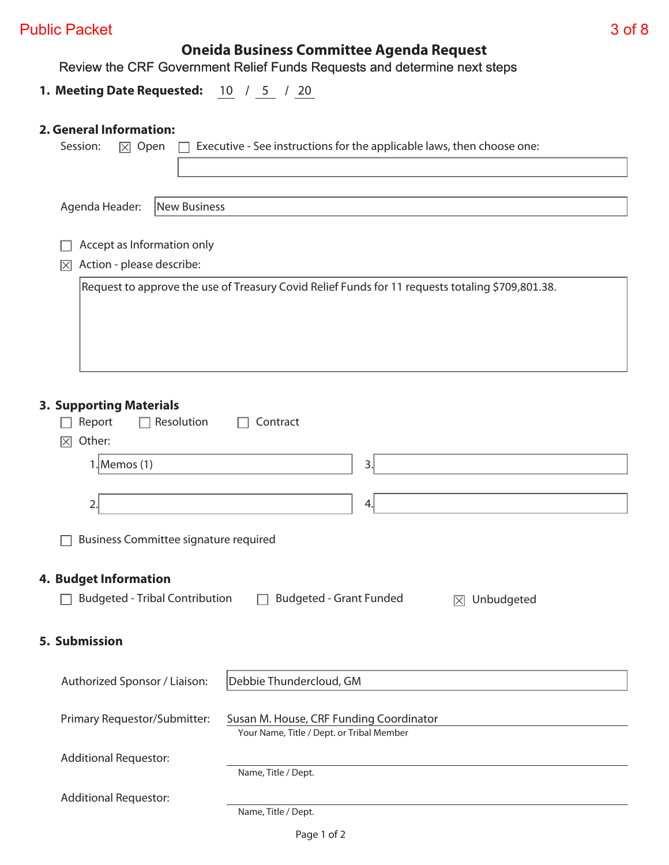| <b>Public Packet</b> | 3 of 8 |
|----------------------|--------|
|----------------------|--------|

**Oneida Business Committee Agenda Request**

Review the CRF Government Relief Funds Requests and determine next steps

**1. Meeting Date Requested:** 10 / 5 / 20

# **2. General Information:**

|                              | Executive - See instructions for the applicable laws, then choose one:<br>Session:<br>$\boxtimes$ Open  |  |  |  |  |  |  |  |  |
|------------------------------|---------------------------------------------------------------------------------------------------------|--|--|--|--|--|--|--|--|
|                              |                                                                                                         |  |  |  |  |  |  |  |  |
|                              |                                                                                                         |  |  |  |  |  |  |  |  |
|                              | Agenda Header:<br><b>New Business</b>                                                                   |  |  |  |  |  |  |  |  |
|                              |                                                                                                         |  |  |  |  |  |  |  |  |
|                              | Accept as Information only<br>Action - please describe:<br>$ \times $                                   |  |  |  |  |  |  |  |  |
|                              | Request to approve the use of Treasury Covid Relief Funds for 11 requests totaling \$709,801.38.        |  |  |  |  |  |  |  |  |
|                              |                                                                                                         |  |  |  |  |  |  |  |  |
|                              |                                                                                                         |  |  |  |  |  |  |  |  |
|                              |                                                                                                         |  |  |  |  |  |  |  |  |
|                              |                                                                                                         |  |  |  |  |  |  |  |  |
|                              |                                                                                                         |  |  |  |  |  |  |  |  |
|                              | <b>3. Supporting Materials</b><br>$\Box$ Resolution<br>Report<br>Contract                               |  |  |  |  |  |  |  |  |
|                              | Other:<br>冈                                                                                             |  |  |  |  |  |  |  |  |
|                              | $1$ . Memos $(1)$<br>3.                                                                                 |  |  |  |  |  |  |  |  |
|                              |                                                                                                         |  |  |  |  |  |  |  |  |
|                              | $\overline{2}$ .<br>4.                                                                                  |  |  |  |  |  |  |  |  |
|                              | <b>Business Committee signature required</b>                                                            |  |  |  |  |  |  |  |  |
|                              |                                                                                                         |  |  |  |  |  |  |  |  |
|                              | <b>4. Budget Information</b>                                                                            |  |  |  |  |  |  |  |  |
|                              | <b>Budgeted - Tribal Contribution</b><br><b>Budgeted - Grant Funded</b><br>Unbudgeted<br>$ \mathsf{X} $ |  |  |  |  |  |  |  |  |
|                              |                                                                                                         |  |  |  |  |  |  |  |  |
|                              | 5. Submission                                                                                           |  |  |  |  |  |  |  |  |
|                              |                                                                                                         |  |  |  |  |  |  |  |  |
|                              | Debbie Thundercloud, GM<br>Authorized Sponsor / Liaison:                                                |  |  |  |  |  |  |  |  |
|                              | Primary Requestor/Submitter:<br>Susan M. House, CRF Funding Coordinator                                 |  |  |  |  |  |  |  |  |
|                              | Your Name, Title / Dept. or Tribal Member                                                               |  |  |  |  |  |  |  |  |
| <b>Additional Requestor:</b> |                                                                                                         |  |  |  |  |  |  |  |  |
| Name, Title / Dept.          |                                                                                                         |  |  |  |  |  |  |  |  |
|                              | <b>Additional Requestor:</b>                                                                            |  |  |  |  |  |  |  |  |
|                              | Name, Title / Dept.                                                                                     |  |  |  |  |  |  |  |  |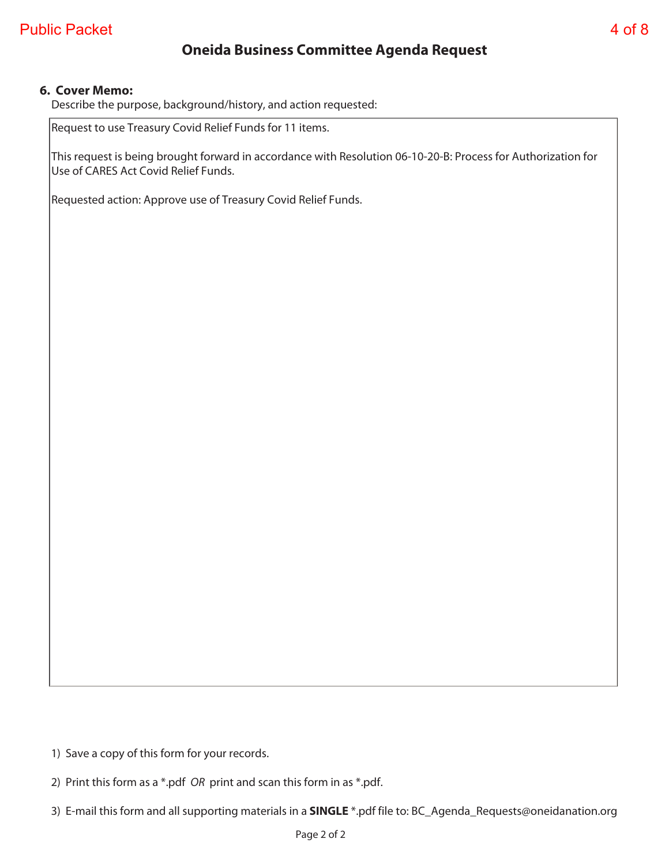# **Oneida Business Committee Agenda Request**

### **6. Cover Memo:**

Describe the purpose, background/history, and action requested:

Request to use Treasury Covid Relief Funds for 11 items.

This request is being brought forward in accordance with Resolution 06-10-20-B: Process for Authorization for Use of CARES Act Covid Relief Funds.

Requested action: Approve use of Treasury Covid Relief Funds.

1) Save a copy of this form for your records.

2) Print this form as a \*.pdf OR print and scan this form in as \*.pdf.

3) E-mail this form and all supporting materials in a **SINGLE** \*.pdf file to: BC\_Agenda\_Requests@oneidanation.org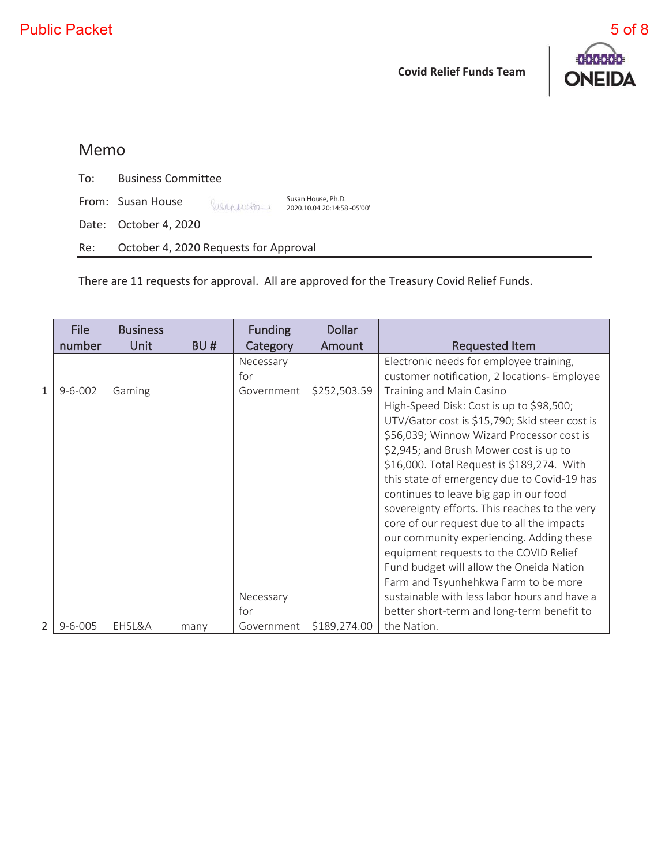

# Memo

To: Business Committee

From: Susan House Susanestor

Date: October 4, 2020

Re: October 4, 2020 Requests for Approval

There are 11 requests for approval. All are approved for the Treasury Covid Relief Funds.

Susan House, Ph.D. 2020.10.04 20:14:58 -05'00'

|                | <b>File</b><br>number | <b>Business</b><br><b>Unit</b> | BU#  | <b>Funding</b><br>Category | <b>Dollar</b><br>Amount | <b>Requested Item</b>                                                                                                                                                                                                                                                                                                                                                                                                                                                                                                                                                                                                                             |
|----------------|-----------------------|--------------------------------|------|----------------------------|-------------------------|---------------------------------------------------------------------------------------------------------------------------------------------------------------------------------------------------------------------------------------------------------------------------------------------------------------------------------------------------------------------------------------------------------------------------------------------------------------------------------------------------------------------------------------------------------------------------------------------------------------------------------------------------|
|                |                       |                                |      | Necessary                  |                         | Electronic needs for employee training,                                                                                                                                                                                                                                                                                                                                                                                                                                                                                                                                                                                                           |
|                |                       |                                |      | for                        |                         | customer notification, 2 locations- Employee                                                                                                                                                                                                                                                                                                                                                                                                                                                                                                                                                                                                      |
| $\mathbf{1}$   | $9 - 6 - 002$         | Gaming                         |      | Government                 | \$252,503.59            | Training and Main Casino                                                                                                                                                                                                                                                                                                                                                                                                                                                                                                                                                                                                                          |
|                |                       |                                |      | Necessary                  |                         | High-Speed Disk: Cost is up to \$98,500;<br>UTV/Gator cost is \$15,790; Skid steer cost is<br>\$56,039; Winnow Wizard Processor cost is<br>\$2,945; and Brush Mower cost is up to<br>\$16,000. Total Request is \$189,274. With<br>this state of emergency due to Covid-19 has<br>continues to leave big gap in our food<br>sovereignty efforts. This reaches to the very<br>core of our request due to all the impacts<br>our community experiencing. Adding these<br>equipment requests to the COVID Relief<br>Fund budget will allow the Oneida Nation<br>Farm and Tsyunhehkwa Farm to be more<br>sustainable with less labor hours and have a |
|                |                       |                                |      | for                        |                         | better short-term and long-term benefit to                                                                                                                                                                                                                                                                                                                                                                                                                                                                                                                                                                                                        |
| $\overline{2}$ | $9 - 6 - 005$         | EHSL&A                         | many | Government                 | \$189,274.00            | the Nation.                                                                                                                                                                                                                                                                                                                                                                                                                                                                                                                                                                                                                                       |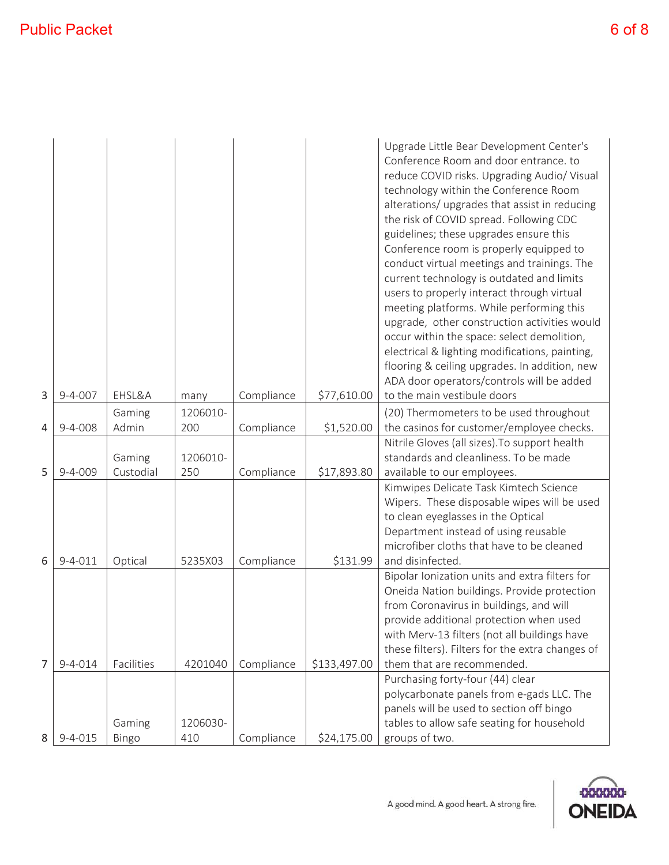| 3              | $9 - 4 - 007$ | EHSL&A     | many     | Compliance | \$77,610.00  | Upgrade Little Bear Development Center's<br>Conference Room and door entrance. to<br>reduce COVID risks. Upgrading Audio/ Visual<br>technology within the Conference Room<br>alterations/ upgrades that assist in reducing<br>the risk of COVID spread. Following CDC<br>guidelines; these upgrades ensure this<br>Conference room is properly equipped to<br>conduct virtual meetings and trainings. The<br>current technology is outdated and limits<br>users to properly interact through virtual<br>meeting platforms. While performing this<br>upgrade, other construction activities would<br>occur within the space: select demolition,<br>electrical & lighting modifications, painting,<br>flooring & ceiling upgrades. In addition, new<br>ADA door operators/controls will be added<br>to the main vestibule doors |
|----------------|---------------|------------|----------|------------|--------------|-------------------------------------------------------------------------------------------------------------------------------------------------------------------------------------------------------------------------------------------------------------------------------------------------------------------------------------------------------------------------------------------------------------------------------------------------------------------------------------------------------------------------------------------------------------------------------------------------------------------------------------------------------------------------------------------------------------------------------------------------------------------------------------------------------------------------------|
|                |               | Gaming     | 1206010- |            |              | (20) Thermometers to be used throughout                                                                                                                                                                                                                                                                                                                                                                                                                                                                                                                                                                                                                                                                                                                                                                                       |
| 4              | $9 - 4 - 008$ | Admin      | 200      | Compliance | \$1,520.00   | the casinos for customer/employee checks.                                                                                                                                                                                                                                                                                                                                                                                                                                                                                                                                                                                                                                                                                                                                                                                     |
|                |               |            |          |            |              | Nitrile Gloves (all sizes). To support health                                                                                                                                                                                                                                                                                                                                                                                                                                                                                                                                                                                                                                                                                                                                                                                 |
|                |               | Gaming     | 1206010- |            |              | standards and cleanliness. To be made                                                                                                                                                                                                                                                                                                                                                                                                                                                                                                                                                                                                                                                                                                                                                                                         |
| 5              | $9 - 4 - 009$ | Custodial  | 250      | Compliance | \$17,893.80  | available to our employees.                                                                                                                                                                                                                                                                                                                                                                                                                                                                                                                                                                                                                                                                                                                                                                                                   |
|                |               |            |          |            |              | Kimwipes Delicate Task Kimtech Science<br>Wipers. These disposable wipes will be used                                                                                                                                                                                                                                                                                                                                                                                                                                                                                                                                                                                                                                                                                                                                         |
|                |               |            |          |            |              | to clean eyeglasses in the Optical                                                                                                                                                                                                                                                                                                                                                                                                                                                                                                                                                                                                                                                                                                                                                                                            |
|                |               |            |          |            |              | Department instead of using reusable                                                                                                                                                                                                                                                                                                                                                                                                                                                                                                                                                                                                                                                                                                                                                                                          |
|                |               |            |          |            |              | microfiber cloths that have to be cleaned                                                                                                                                                                                                                                                                                                                                                                                                                                                                                                                                                                                                                                                                                                                                                                                     |
| 6              | $9 - 4 - 011$ | Optical    | 5235X03  | Compliance | \$131.99     | and disinfected.                                                                                                                                                                                                                                                                                                                                                                                                                                                                                                                                                                                                                                                                                                                                                                                                              |
|                |               |            |          |            |              | Bipolar Ionization units and extra filters for                                                                                                                                                                                                                                                                                                                                                                                                                                                                                                                                                                                                                                                                                                                                                                                |
|                |               |            |          |            |              | Oneida Nation buildings. Provide protection                                                                                                                                                                                                                                                                                                                                                                                                                                                                                                                                                                                                                                                                                                                                                                                   |
|                |               |            |          |            |              | from Coronavirus in buildings, and will                                                                                                                                                                                                                                                                                                                                                                                                                                                                                                                                                                                                                                                                                                                                                                                       |
|                |               |            |          |            |              | provide additional protection when used<br>with Merv-13 filters (not all buildings have                                                                                                                                                                                                                                                                                                                                                                                                                                                                                                                                                                                                                                                                                                                                       |
|                |               |            |          |            |              | these filters). Filters for the extra changes of                                                                                                                                                                                                                                                                                                                                                                                                                                                                                                                                                                                                                                                                                                                                                                              |
| $\overline{7}$ | $9 - 4 - 014$ | Facilities | 4201040  | Compliance | \$133,497.00 | them that are recommended.                                                                                                                                                                                                                                                                                                                                                                                                                                                                                                                                                                                                                                                                                                                                                                                                    |
|                |               |            |          |            |              | Purchasing forty-four (44) clear                                                                                                                                                                                                                                                                                                                                                                                                                                                                                                                                                                                                                                                                                                                                                                                              |
|                |               |            |          |            |              | polycarbonate panels from e-gads LLC. The                                                                                                                                                                                                                                                                                                                                                                                                                                                                                                                                                                                                                                                                                                                                                                                     |
|                |               |            |          |            |              | panels will be used to section off bingo                                                                                                                                                                                                                                                                                                                                                                                                                                                                                                                                                                                                                                                                                                                                                                                      |
|                |               | Gaming     | 1206030- |            |              | tables to allow safe seating for household                                                                                                                                                                                                                                                                                                                                                                                                                                                                                                                                                                                                                                                                                                                                                                                    |
| 8              | $9 - 4 - 015$ | Bingo      | 410      | Compliance | \$24,175.00  | groups of two.                                                                                                                                                                                                                                                                                                                                                                                                                                                                                                                                                                                                                                                                                                                                                                                                                |

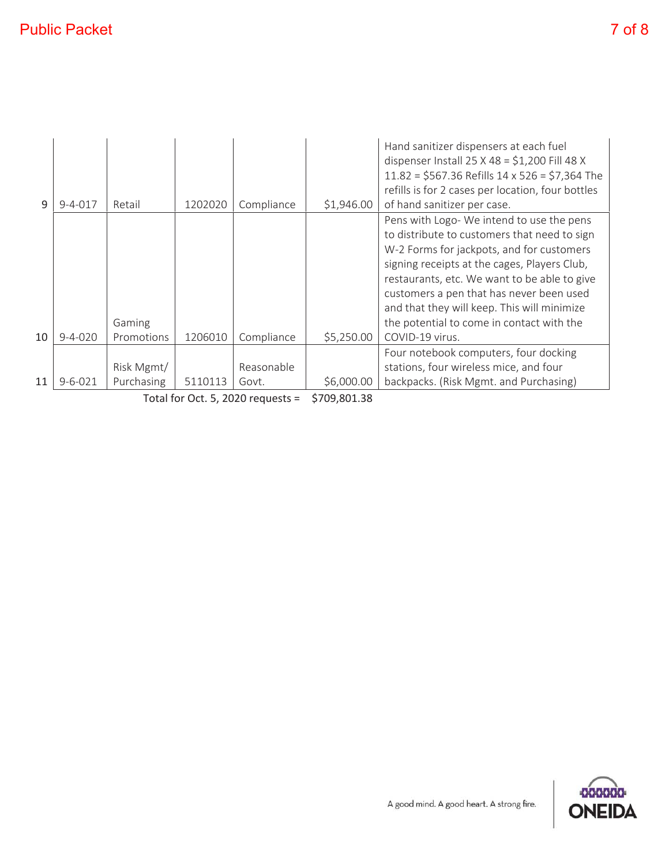| q  | $9 - 4 - 017$ | Retail               | 1202020 | Compliance | \$1,946.00 | Hand sanitizer dispensers at each fuel<br>dispenser Install $25 \times 48 = $1,200$ Fill 48 X<br>$11.82 = $567.36$ Refills $14 \times 526 = $7,364$ The<br>refills is for 2 cases per location, four bottles<br>of hand sanitizer per case.                                                                                                                                                       |
|----|---------------|----------------------|---------|------------|------------|---------------------------------------------------------------------------------------------------------------------------------------------------------------------------------------------------------------------------------------------------------------------------------------------------------------------------------------------------------------------------------------------------|
| 10 | $9 - 4 - 020$ | Gaming<br>Promotions | 1206010 | Compliance | \$5,250.00 | Pens with Logo- We intend to use the pens<br>to distribute to customers that need to sign<br>W-2 Forms for jackpots, and for customers<br>signing receipts at the cages, Players Club,<br>restaurants, etc. We want to be able to give<br>customers a pen that has never been used<br>and that they will keep. This will minimize<br>the potential to come in contact with the<br>COVID-19 virus. |
|    |               |                      |         |            |            | Four notebook computers, four docking                                                                                                                                                                                                                                                                                                                                                             |
|    |               | Risk Mgmt/           |         | Reasonable |            | stations, four wireless mice, and four                                                                                                                                                                                                                                                                                                                                                            |
| 11 | $9 - 6 - 021$ | Purchasing           | 5110113 | Govt.      | \$6,000.00 | backpacks. (Risk Mgmt. and Purchasing)                                                                                                                                                                                                                                                                                                                                                            |

Total for Oct. 5, 2020 requests = \$709,801.38